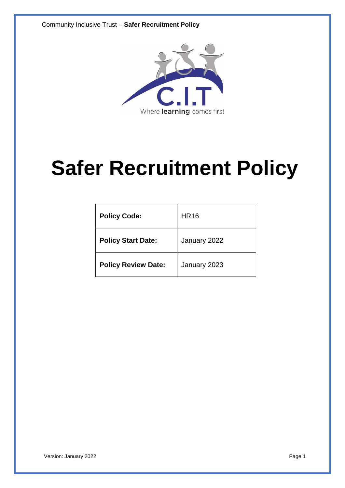Community Inclusive Trust – **Safer Recruitment Policy**



# **Safer Recruitment Policy**

| <b>Policy Code:</b>        | <b>HR16</b>  |
|----------------------------|--------------|
| <b>Policy Start Date:</b>  | January 2022 |
| <b>Policy Review Date:</b> | January 2023 |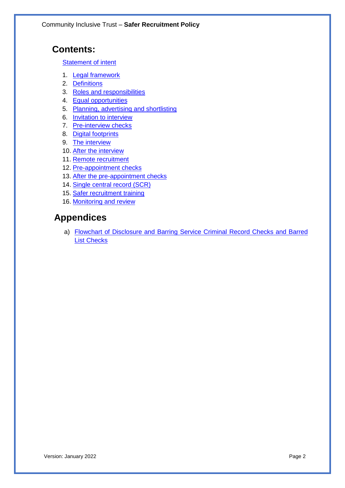# **Contents:**

**Statement of intent** 

- 1. Legal framework
- 2. Definitions
- 3. Roles and responsibilities
- 4. Equal opportunities
- 5. Planning, advertising and shortlisting
- 6. Invitation to interview
- 7. Pre-interview checks
- 8. Digital footprints
- 9. The interview
- 10. After the interview
- 11. Remote recruitment
- 12. Pre-appointment checks
- 13. After the pre-appointment checks
- 14. Single central record (SCR)
- 15. Safer recruitment training
- 16. Monitoring and review

# **Appendices**

a) Flowchart of Disclosure and Barring Service Criminal Record Checks and Barred List Checks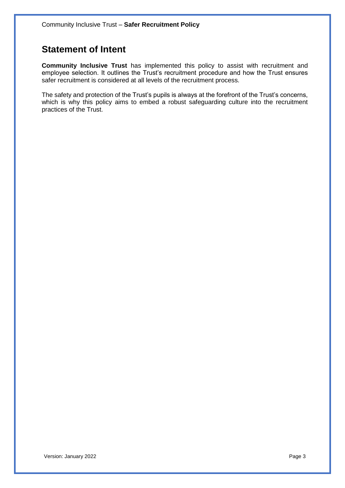# **Statement of Intent**

**Community Inclusive Trust** has implemented this policy to assist with recruitment and employee selection. It outlines the Trust's recruitment procedure and how the Trust ensures safer recruitment is considered at all levels of the recruitment process.

The safety and protection of the Trust's pupils is always at the forefront of the Trust's concerns, which is why this policy aims to embed a robust safeguarding culture into the recruitment practices of the Trust.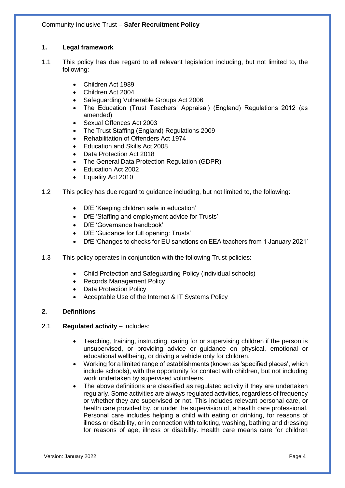# **1. Legal framework**

- 1.1 This policy has due regard to all relevant legislation including, but not limited to, the following:
	- Children Act 1989
	- Children Act 2004
	- Safeguarding Vulnerable Groups Act 2006
	- The Education (Trust Teachers' Appraisal) (England) Regulations 2012 (as amended)
	- Sexual Offences Act 2003
	- The Trust Staffing (England) Regulations 2009
	- Rehabilitation of Offenders Act 1974
	- Education and Skills Act 2008
	- Data Protection Act 2018
	- The General Data Protection Regulation (GDPR)
	- Education Act 2002
	- Equality Act 2010
- 1.2 This policy has due regard to guidance including, but not limited to, the following:
	- DfE 'Keeping children safe in education'
	- DfE 'Staffing and employment advice for Trusts'
	- DfE 'Governance handbook'
	- DfE 'Guidance for full opening: Trusts'
	- DfE 'Changes to checks for EU sanctions on EEA teachers from 1 January 2021'
- 1.3 This policy operates in conjunction with the following Trust policies:
	- Child Protection and Safeguarding Policy (individual schools)
	- Records Management Policy
	- **Data Protection Policy**
	- Acceptable Use of the Internet & IT Systems Policy

# **2. Definitions**

# 2.1 **Regulated activity** – includes:

- Teaching, training, instructing, caring for or supervising children if the person is unsupervised, or providing advice or guidance on physical, emotional or educational wellbeing, or driving a vehicle only for children.
- Working for a limited range of establishments (known as 'specified places', which include schools), with the opportunity for contact with children, but not including work undertaken by supervised volunteers.
- The above definitions are classified as regulated activity if they are undertaken regularly. Some activities are always regulated activities, regardless of frequency or whether they are supervised or not. This includes relevant personal care, or health care provided by, or under the supervision of, a health care professional. Personal care includes helping a child with eating or drinking, for reasons of illness or disability, or in connection with toileting, washing, bathing and dressing for reasons of age, illness or disability. Health care means care for children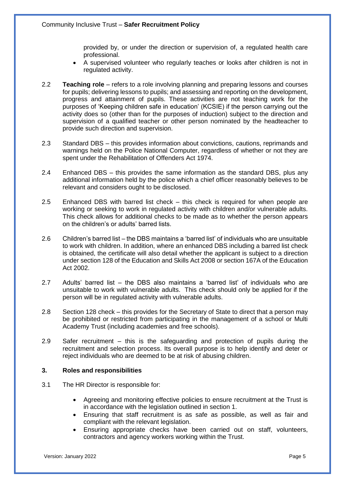provided by, or under the direction or supervision of, a regulated health care professional.

- A supervised volunteer who regularly teaches or looks after children is not in regulated activity.
- 2.2 **Teaching role** refers to a role involving planning and preparing lessons and courses for pupils; delivering lessons to pupils; and assessing and reporting on the development, progress and attainment of pupils. These activities are not teaching work for the purposes of 'Keeping children safe in education' (KCSIE) if the person carrying out the activity does so (other than for the purposes of induction) subject to the direction and supervision of a qualified teacher or other person nominated by the headteacher to provide such direction and supervision.
- 2.3 Standard DBS this provides information about convictions, cautions, reprimands and warnings held on the Police National Computer, regardless of whether or not they are spent under the Rehabilitation of Offenders Act 1974.
- 2.4 Enhanced DBS this provides the same information as the standard DBS, plus any additional information held by the police which a chief officer reasonably believes to be relevant and considers ought to be disclosed.
- 2.5 Enhanced DBS with barred list check this check is required for when people are working or seeking to work in regulated activity with children and/or vulnerable adults. This check allows for additional checks to be made as to whether the person appears on the children's or adults' barred lists.
- 2.6 Children's barred list the DBS maintains a 'barred list' of individuals who are unsuitable to work with children. In addition, where an enhanced DBS including a barred list check is obtained, the certificate will also detail whether the applicant is subject to a direction under section 128 of the Education and Skills Act 2008 or section 167A of the Education Act 2002.
- 2.7 Adults' barred list the DBS also maintains a 'barred list' of individuals who are unsuitable to work with vulnerable adults. This check should only be applied for if the person will be in regulated activity with vulnerable adults.
- 2.8 Section 128 check this provides for the Secretary of State to direct that a person may be prohibited or restricted from participating in the management of a school or Multi Academy Trust (including academies and free schools).
- 2.9 Safer recruitment this is the safeguarding and protection of pupils during the recruitment and selection process. Its overall purpose is to help identify and deter or reject individuals who are deemed to be at risk of abusing children.

# **3. Roles and responsibilities**

- 3.1 The HR Director is responsible for:
	- Agreeing and monitoring effective policies to ensure recruitment at the Trust is in accordance with the legislation outlined in section 1.
	- Ensuring that staff recruitment is as safe as possible, as well as fair and compliant with the relevant legislation.
	- Ensuring appropriate checks have been carried out on staff, volunteers, contractors and agency workers working within the Trust.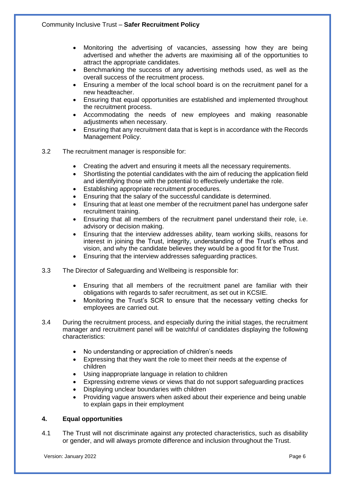- Monitoring the advertising of vacancies, assessing how they are being advertised and whether the adverts are maximising all of the opportunities to attract the appropriate candidates.
- Benchmarking the success of any advertising methods used, as well as the overall success of the recruitment process.
- Ensuring a member of the local school board is on the recruitment panel for a new headteacher.
- Ensuring that equal opportunities are established and implemented throughout the recruitment process.
- Accommodating the needs of new employees and making reasonable adjustments when necessary.
- Ensuring that any recruitment data that is kept is in accordance with the Records Management Policy.
- 3.2 The recruitment manager is responsible for:
	- Creating the advert and ensuring it meets all the necessary requirements.
	- Shortlisting the potential candidates with the aim of reducing the application field and identifying those with the potential to effectively undertake the role.
	- Establishing appropriate recruitment procedures.
	- Ensuring that the salary of the successful candidate is determined.
	- Ensuring that at least one member of the recruitment panel has undergone safer recruitment training.
	- Ensuring that all members of the recruitment panel understand their role, i.e. advisory or decision making.
	- Ensuring that the interview addresses ability, team working skills, reasons for interest in joining the Trust, integrity, understanding of the Trust's ethos and vision, and why the candidate believes they would be a good fit for the Trust.
	- Ensuring that the interview addresses safeguarding practices.
- 3.3 The Director of Safeguarding and Wellbeing is responsible for:
	- Ensuring that all members of the recruitment panel are familiar with their obligations with regards to safer recruitment, as set out in KCSIE.
	- Monitoring the Trust's SCR to ensure that the necessary vetting checks for employees are carried out.
- 3.4 During the recruitment process, and especially during the initial stages, the recruitment manager and recruitment panel will be watchful of candidates displaying the following characteristics:
	- No understanding or appreciation of children's needs
	- Expressing that they want the role to meet their needs at the expense of children
	- Using inappropriate language in relation to children
	- Expressing extreme views or views that do not support safeguarding practices
	- Displaying unclear boundaries with children
	- Providing vague answers when asked about their experience and being unable to explain gaps in their employment

# **4. Equal opportunities**

4.1 The Trust will not discriminate against any protected characteristics, such as disability or gender, and will always promote difference and inclusion throughout the Trust.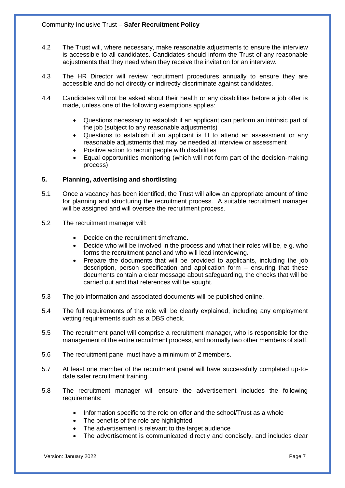- 4.2 The Trust will, where necessary, make reasonable adjustments to ensure the interview is accessible to all candidates. Candidates should inform the Trust of any reasonable adjustments that they need when they receive the invitation for an interview.
- 4.3 The HR Director will review recruitment procedures annually to ensure they are accessible and do not directly or indirectly discriminate against candidates.
- 4.4 Candidates will not be asked about their health or any disabilities before a job offer is made, unless one of the following exemptions applies:
	- Questions necessary to establish if an applicant can perform an intrinsic part of the job (subject to any reasonable adjustments)
	- Questions to establish if an applicant is fit to attend an assessment or any reasonable adjustments that may be needed at interview or assessment
	- Positive action to recruit people with disabilities
	- Equal opportunities monitoring (which will not form part of the decision-making process)

# **5. Planning, advertising and shortlisting**

- 5.1 Once a vacancy has been identified, the Trust will allow an appropriate amount of time for planning and structuring the recruitment process. A suitable recruitment manager will be assigned and will oversee the recruitment process.
- 5.2 The recruitment manager will:
	- Decide on the recruitment timeframe.
	- Decide who will be involved in the process and what their roles will be, e.g. who forms the recruitment panel and who will lead interviewing.
	- Prepare the documents that will be provided to applicants, including the job description, person specification and application form – ensuring that these documents contain a clear message about safeguarding, the checks that will be carried out and that references will be sought.
- 5.3 The job information and associated documents will be published online.
- 5.4 The full requirements of the role will be clearly explained, including any employment vetting requirements such as a DBS check.
- 5.5 The recruitment panel will comprise a recruitment manager, who is responsible for the management of the entire recruitment process, and normally two other members of staff.
- 5.6 The recruitment panel must have a minimum of 2 members.
- 5.7 At least one member of the recruitment panel will have successfully completed up-todate safer recruitment training.
- 5.8 The recruitment manager will ensure the advertisement includes the following requirements:
	- Information specific to the role on offer and the school/Trust as a whole
	- The benefits of the role are highlighted
	- The advertisement is relevant to the target audience
	- The advertisement is communicated directly and concisely, and includes clear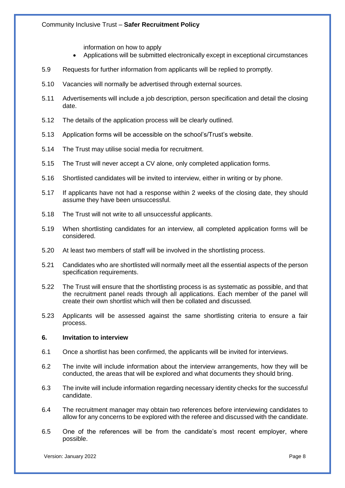information on how to apply

- Applications will be submitted electronically except in exceptional circumstances
- 5.9 Requests for further information from applicants will be replied to promptly.
- 5.10 Vacancies will normally be advertised through external sources.
- 5.11 Advertisements will include a job description, person specification and detail the closing date.
- 5.12 The details of the application process will be clearly outlined.
- 5.13 Application forms will be accessible on the school's/Trust's website.
- 5.14 The Trust may utilise social media for recruitment.
- 5.15 The Trust will never accept a CV alone, only completed application forms.
- 5.16 Shortlisted candidates will be invited to interview, either in writing or by phone.
- 5.17 If applicants have not had a response within 2 weeks of the closing date, they should assume they have been unsuccessful.
- 5.18 The Trust will not write to all unsuccessful applicants.
- 5.19 When shortlisting candidates for an interview, all completed application forms will be considered.
- 5.20 At least two members of staff will be involved in the shortlisting process.
- 5.21 Candidates who are shortlisted will normally meet all the essential aspects of the person specification requirements.
- 5.22 The Trust will ensure that the shortlisting process is as systematic as possible, and that the recruitment panel reads through all applications. Each member of the panel will create their own shortlist which will then be collated and discussed.
- 5.23 Applicants will be assessed against the same shortlisting criteria to ensure a fair process.

#### **6. Invitation to interview**

- 6.1 Once a shortlist has been confirmed, the applicants will be invited for interviews.
- 6.2 The invite will include information about the interview arrangements, how they will be conducted, the areas that will be explored and what documents they should bring.
- 6.3 The invite will include information regarding necessary identity checks for the successful candidate.
- 6.4 The recruitment manager may obtain two references before interviewing candidates to allow for any concerns to be explored with the referee and discussed with the candidate.
- 6.5 One of the references will be from the candidate's most recent employer, where possible.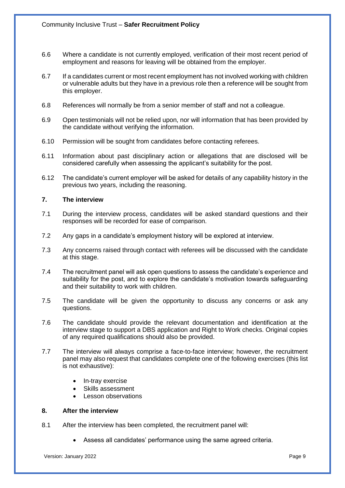- 6.6 Where a candidate is not currently employed, verification of their most recent period of employment and reasons for leaving will be obtained from the employer.
- 6.7 If a candidates current or most recent employment has not involved working with children or vulnerable adults but they have in a previous role then a reference will be sought from this employer.
- 6.8 References will normally be from a senior member of staff and not a colleague.
- 6.9 Open testimonials will not be relied upon, nor will information that has been provided by the candidate without verifying the information.
- 6.10 Permission will be sought from candidates before contacting referees.
- 6.11 Information about past disciplinary action or allegations that are disclosed will be considered carefully when assessing the applicant's suitability for the post.
- 6.12 The candidate's current employer will be asked for details of any capability history in the previous two years, including the reasoning.

#### **7. The interview**

- 7.1 During the interview process, candidates will be asked standard questions and their responses will be recorded for ease of comparison.
- 7.2 Any gaps in a candidate's employment history will be explored at interview.
- 7.3 Any concerns raised through contact with referees will be discussed with the candidate at this stage.
- 7.4 The recruitment panel will ask open questions to assess the candidate's experience and suitability for the post, and to explore the candidate's motivation towards safeguarding and their suitability to work with children.
- 7.5 The candidate will be given the opportunity to discuss any concerns or ask any questions.
- 7.6 The candidate should provide the relevant documentation and identification at the interview stage to support a DBS application and Right to Work checks. Original copies of any required qualifications should also be provided.
- 7.7 The interview will always comprise a face-to-face interview; however, the recruitment panel may also request that candidates complete one of the following exercises (this list is not exhaustive):
	- In-tray exercise
	- Skills assessment
	- Lesson observations

# **8. After the interview**

- 8.1 After the interview has been completed, the recruitment panel will:
	- Assess all candidates' performance using the same agreed criteria.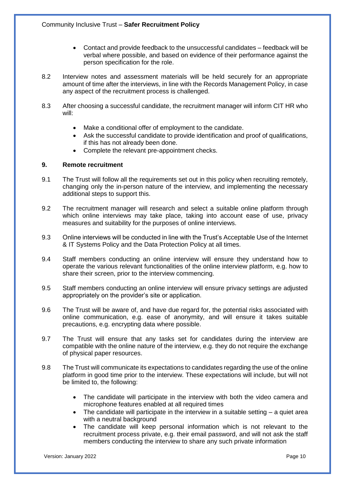- Contact and provide feedback to the unsuccessful candidates feedback will be verbal where possible, and based on evidence of their performance against the person specification for the role.
- 8.2 Interview notes and assessment materials will be held securely for an appropriate amount of time after the interviews, in line with the Records Management Policy, in case any aspect of the recruitment process is challenged.
- 8.3 After choosing a successful candidate, the recruitment manager will inform CIT HR who will:
	- Make a conditional offer of employment to the candidate.
	- Ask the successful candidate to provide identification and proof of qualifications, if this has not already been done.
	- Complete the relevant pre-appointment checks.

#### **9. Remote recruitment**

- 9.1 The Trust will follow all the requirements set out in this policy when recruiting remotely, changing only the in-person nature of the interview, and implementing the necessary additional steps to support this.
- 9.2 The recruitment manager will research and select a suitable online platform through which online interviews may take place, taking into account ease of use, privacy measures and suitability for the purposes of online interviews.
- 9.3 Online interviews will be conducted in line with the Trust's Acceptable Use of the Internet & IT Systems Policy and the Data Protection Policy at all times.
- 9.4 Staff members conducting an online interview will ensure they understand how to operate the various relevant functionalities of the online interview platform, e.g. how to share their screen, prior to the interview commencing.
- 9.5 Staff members conducting an online interview will ensure privacy settings are adjusted appropriately on the provider's site or application.
- 9.6 The Trust will be aware of, and have due regard for, the potential risks associated with online communication, e.g. ease of anonymity, and will ensure it takes suitable precautions, e.g. encrypting data where possible.
- 9.7 The Trust will ensure that any tasks set for candidates during the interview are compatible with the online nature of the interview, e.g. they do not require the exchange of physical paper resources.
- 9.8 The Trust will communicate its expectations to candidates regarding the use of the online platform in good time prior to the interview. These expectations will include, but will not be limited to, the following:
	- The candidate will participate in the interview with both the video camera and microphone features enabled at all required times
	- The candidate will participate in the interview in a suitable setting  $-$  a quiet area with a neutral background
	- The candidate will keep personal information which is not relevant to the recruitment process private, e.g. their email password, and will not ask the staff members conducting the interview to share any such private information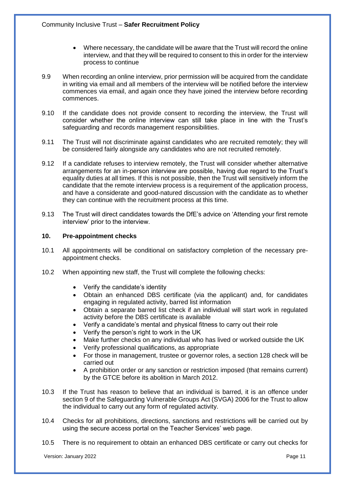- Where necessary, the candidate will be aware that the Trust will record the online interview, and that they will be required to consent to this in order for the interview process to continue
- 9.9 When recording an online interview, prior permission will be acquired from the candidate in writing via email and all members of the interview will be notified before the interview commences via email, and again once they have joined the interview before recording commences.
- 9.10 If the candidate does not provide consent to recording the interview, the Trust will consider whether the online interview can still take place in line with the Trust's safeguarding and records management responsibilities.
- 9.11 The Trust will not discriminate against candidates who are recruited remotely; they will be considered fairly alongside any candidates who are not recruited remotely.
- 9.12 If a candidate refuses to interview remotely, the Trust will consider whether alternative arrangements for an in-person interview are possible, having due regard to the Trust's equality duties at all times. If this is not possible, then the Trust will sensitively inform the candidate that the remote interview process is a requirement of the application process, and have a considerate and good-natured discussion with the candidate as to whether they can continue with the recruitment process at this time.
- 9.13 The Trust will direct candidates towards the DfE's advice on 'Attending your first remote interview' prior to the interview.

#### **10. Pre-appointment checks**

- 10.1 All appointments will be conditional on satisfactory completion of the necessary preappointment checks.
- 10.2 When appointing new staff, the Trust will complete the following checks:
	- Verify the candidate's identity
	- Obtain an enhanced DBS certificate (via the applicant) and, for candidates engaging in regulated activity, barred list information
	- Obtain a separate barred list check if an individual will start work in regulated activity before the DBS certificate is available
	- Verify a candidate's mental and physical fitness to carry out their role
	- Verify the person's right to work in the UK
	- Make further checks on any individual who has lived or worked outside the UK
	- Verify professional qualifications, as appropriate
	- For those in management, trustee or governor roles, a section 128 check will be carried out
	- A prohibition order or any sanction or restriction imposed (that remains current) by the GTCE before its abolition in March 2012.
- 10.3 If the Trust has reason to believe that an individual is barred, it is an offence under section 9 of the Safeguarding Vulnerable Groups Act (SVGA) 2006 for the Trust to allow the individual to carry out any form of regulated activity.
- 10.4 Checks for all prohibitions, directions, sanctions and restrictions will be carried out by using the secure access portal on the Teacher Services' web page.
- 10.5 There is no requirement to obtain an enhanced DBS certificate or carry out checks for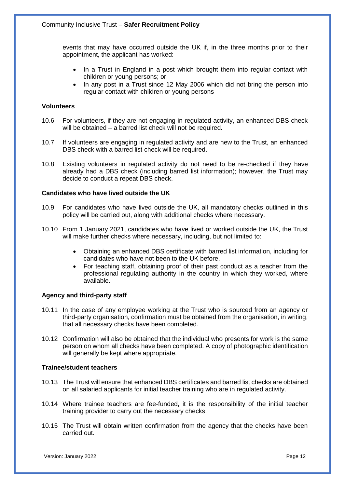events that may have occurred outside the UK if, in the three months prior to their appointment, the applicant has worked:

- In a Trust in England in a post which brought them into regular contact with children or young persons; or
- In any post in a Trust since 12 May 2006 which did not bring the person into regular contact with children or young persons

#### **Volunteers**

- 10.6 For volunteers, if they are not engaging in regulated activity, an enhanced DBS check will be obtained – a barred list check will not be required.
- 10.7 If volunteers are engaging in regulated activity and are new to the Trust, an enhanced DBS check with a barred list check will be required.
- 10.8 Existing volunteers in regulated activity do not need to be re-checked if they have already had a DBS check (including barred list information); however, the Trust may decide to conduct a repeat DBS check.

#### **Candidates who have lived outside the UK**

- 10.9 For candidates who have lived outside the UK, all mandatory checks outlined in this policy will be carried out, along with additional checks where necessary.
- 10.10 From 1 January 2021, candidates who have lived or worked outside the UK, the Trust will make further checks where necessary, including, but not limited to:
	- Obtaining an enhanced DBS certificate with barred list information, including for candidates who have not been to the UK before.
	- For teaching staff, obtaining proof of their past conduct as a teacher from the professional regulating authority in the country in which they worked, where available.

# **Agency and third-party staff**

- 10.11 In the case of any employee working at the Trust who is sourced from an agency or third-party organisation, confirmation must be obtained from the organisation, in writing, that all necessary checks have been completed.
- 10.12 Confirmation will also be obtained that the individual who presents for work is the same person on whom all checks have been completed. A copy of photographic identification will generally be kept where appropriate.

#### **Trainee/student teachers**

- 10.13 The Trust will ensure that enhanced DBS certificates and barred list checks are obtained on all salaried applicants for initial teacher training who are in regulated activity.
- 10.14 Where trainee teachers are fee-funded, it is the responsibility of the initial teacher training provider to carry out the necessary checks.
- 10.15 The Trust will obtain written confirmation from the agency that the checks have been carried out.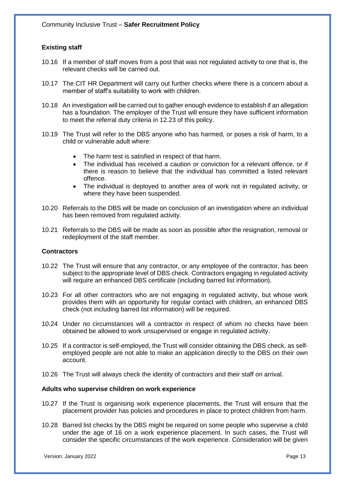# **Existing staff**

- 10.16 If a member of staff moves from a post that was not regulated activity to one that is, the relevant checks will be carried out.
- 10.17 The CIT HR Department will carry out further checks where there is a concern about a member of staff's suitability to work with children.
- 10.18 An investigation will be carried out to gather enough evidence to establish if an allegation has a foundation. The employer of the Trust will ensure they have sufficient information to meet the referral duty criteria in 12.23 of this policy.
- 10.19 The Trust will refer to the DBS anyone who has harmed, or poses a risk of harm, to a child or vulnerable adult where:
	- The harm test is satisfied in respect of that harm.
	- The individual has received a caution or conviction for a relevant offence, or if there is reason to believe that the individual has committed a listed relevant offence.
	- The individual is deployed to another area of work not in regulated activity, or where they have been suspended.
- 10.20 Referrals to the DBS will be made on conclusion of an investigation where an individual has been removed from regulated activity.
- 10.21 Referrals to the DBS will be made as soon as possible after the resignation, removal or redeployment of the staff member.

#### **Contractors**

- 10.22 The Trust will ensure that any contractor, or any employee of the contractor, has been subject to the appropriate level of DBS check. Contractors engaging in regulated activity will require an enhanced DBS certificate (including barred list information).
- 10.23 For all other contractors who are not engaging in regulated activity, but whose work provides them with an opportunity for regular contact with children, an enhanced DBS check (not including barred list information) will be required.
- 10.24 Under no circumstances will a contractor in respect of whom no checks have been obtained be allowed to work unsupervised or engage in regulated activity.
- 10.25 If a contractor is self-employed, the Trust will consider obtaining the DBS check, as selfemployed people are not able to make an application directly to the DBS on their own account.
- 10.26 The Trust will always check the identity of contractors and their staff on arrival.

#### **Adults who supervise children on work experience**

- 10.27 If the Trust is organising work experience placements, the Trust will ensure that the placement provider has policies and procedures in place to protect children from harm.
- 10.28 Barred list checks by the DBS might be required on some people who supervise a child under the age of 16 on a work experience placement. In such cases, the Trust will consider the specific circumstances of the work experience. Consideration will be given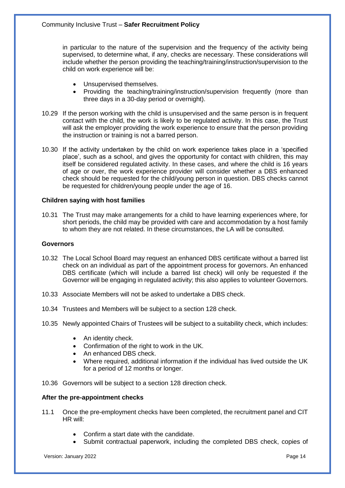in particular to the nature of the supervision and the frequency of the activity being supervised, to determine what, if any, checks are necessary. These considerations will include whether the person providing the teaching/training/instruction/supervision to the child on work experience will be:

- Unsupervised themselves.
- Providing the teaching/training/instruction/supervision frequently (more than three days in a 30-day period or overnight).
- 10.29 If the person working with the child is unsupervised and the same person is in frequent contact with the child, the work is likely to be regulated activity. In this case, the Trust will ask the employer providing the work experience to ensure that the person providing the instruction or training is not a barred person.
- 10.30 If the activity undertaken by the child on work experience takes place in a 'specified place', such as a school, and gives the opportunity for contact with children, this may itself be considered regulated activity. In these cases, and where the child is 16 years of age or over, the work experience provider will consider whether a DBS enhanced check should be requested for the child/young person in question. DBS checks cannot be requested for children/young people under the age of 16.

#### **Children saying with host families**

10.31 The Trust may make arrangements for a child to have learning experiences where, for short periods, the child may be provided with care and accommodation by a host family to whom they are not related. In these circumstances, the LA will be consulted.

#### **Governors**

- 10.32 The Local School Board may request an enhanced DBS certificate without a barred list check on an individual as part of the appointment process for governors. An enhanced DBS certificate (which will include a barred list check) will only be requested if the Governor will be engaging in regulated activity; this also applies to volunteer Governors.
- 10.33 Associate Members will not be asked to undertake a DBS check.
- 10.34 Trustees and Members will be subject to a section 128 check.
- 10.35 Newly appointed Chairs of Trustees will be subject to a suitability check, which includes:
	- An identity check.
	- Confirmation of the right to work in the UK.
	- An enhanced DBS check.
	- Where required, additional information if the individual has lived outside the UK for a period of 12 months or longer.
- 10.36 Governors will be subject to a section 128 direction check.

#### **After the pre-appointment checks**

- 11.1 Once the pre-employment checks have been completed, the recruitment panel and CIT HR will:
	- Confirm a start date with the candidate.
	- Submit contractual paperwork, including the completed DBS check, copies of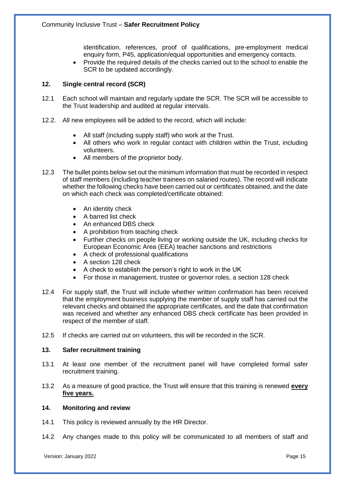identification, references, proof of qualifications, pre-employment medical enquiry form, P45, application/equal opportunities and emergency contacts.

• Provide the required details of the checks carried out to the school to enable the SCR to be updated accordingly.

#### **12. Single central record (SCR)**

- 12.1 Each school will maintain and regularly update the SCR. The SCR will be accessible to the Trust leadership and audited at regular intervals.
- 12.2. All new employees will be added to the record, which will include:
	- All staff (including supply staff) who work at the Trust.
	- All others who work in regular contact with children within the Trust, including volunteers.
	- All members of the proprietor body.
- 12.3 The bullet points below set out the minimum information that must be recorded in respect of staff members (including teacher trainees on salaried routes). The record will indicate whether the following checks have been carried out or certificates obtained, and the date on which each check was completed/certificate obtained:
	- An identity check
	- A barred list check
	- An enhanced DBS check
	- A prohibition from teaching check
	- Further checks on people living or working outside the UK, including checks for European Economic Area (EEA) teacher sanctions and restrictions
	- A check of professional qualifications
	- A section 128 check
	- A check to establish the person's right to work in the UK
	- For those in management, trustee or governor roles, a section 128 check
- 12.4 For supply staff, the Trust will include whether written confirmation has been received that the employment business supplying the member of supply staff has carried out the relevant checks and obtained the appropriate certificates, and the date that confirmation was received and whether any enhanced DBS check certificate has been provided in respect of the member of staff.
- 12.5 If checks are carried out on volunteers, this will be recorded in the SCR.

#### **13. Safer recruitment training**

- 13.1 At least one member of the recruitment panel will have completed formal safer recruitment training.
- 13.2 As a measure of good practice, the Trust will ensure that this training is renewed **every five years.**

#### **14. Monitoring and review**

- 14.1 This policy is reviewed annually by the HR Director.
- 14.2 Any changes made to this policy will be communicated to all members of staff and